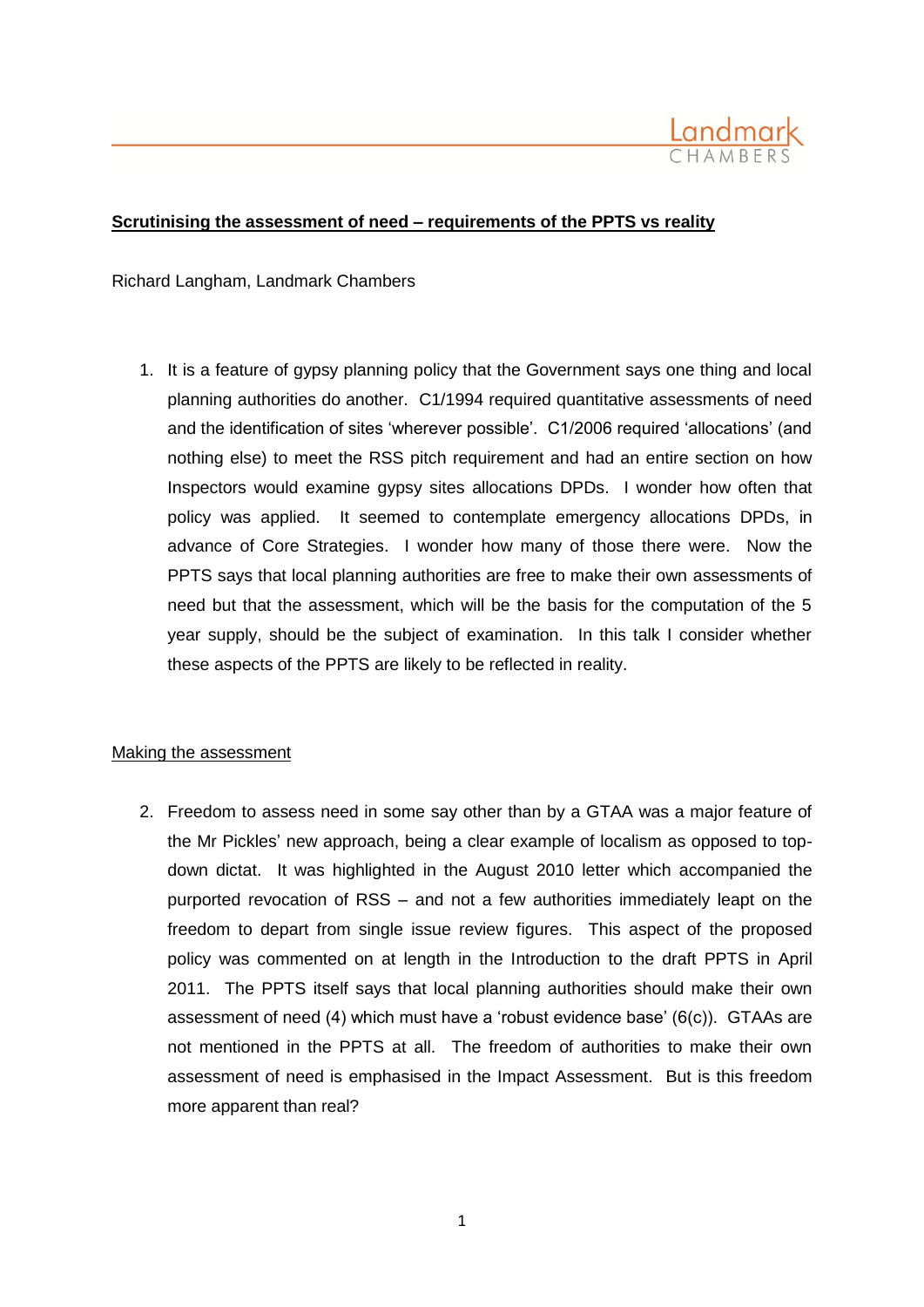

## **Scrutinising the assessment of need – requirements of the PPTS vs reality**

Richard Langham, Landmark Chambers

1. It is a feature of gypsy planning policy that the Government says one thing and local planning authorities do another. C1/1994 required quantitative assessments of need and the identification of sites 'wherever possible'. C1/2006 required 'allocations' (and nothing else) to meet the RSS pitch requirement and had an entire section on how Inspectors would examine gypsy sites allocations DPDs. I wonder how often that policy was applied. It seemed to contemplate emergency allocations DPDs, in advance of Core Strategies. I wonder how many of those there were. Now the PPTS says that local planning authorities are free to make their own assessments of need but that the assessment, which will be the basis for the computation of the 5 year supply, should be the subject of examination. In this talk I consider whether these aspects of the PPTS are likely to be reflected in reality.

## Making the assessment

2. Freedom to assess need in some say other than by a GTAA was a major feature of the Mr Pickles' new approach, being a clear example of localism as opposed to topdown dictat. It was highlighted in the August 2010 letter which accompanied the purported revocation of RSS – and not a few authorities immediately leapt on the freedom to depart from single issue review figures. This aspect of the proposed policy was commented on at length in the Introduction to the draft PPTS in April 2011. The PPTS itself says that local planning authorities should make their own assessment of need (4) which must have a 'robust evidence base' (6(c)). GTAAs are not mentioned in the PPTS at all. The freedom of authorities to make their own assessment of need is emphasised in the Impact Assessment. But is this freedom more apparent than real?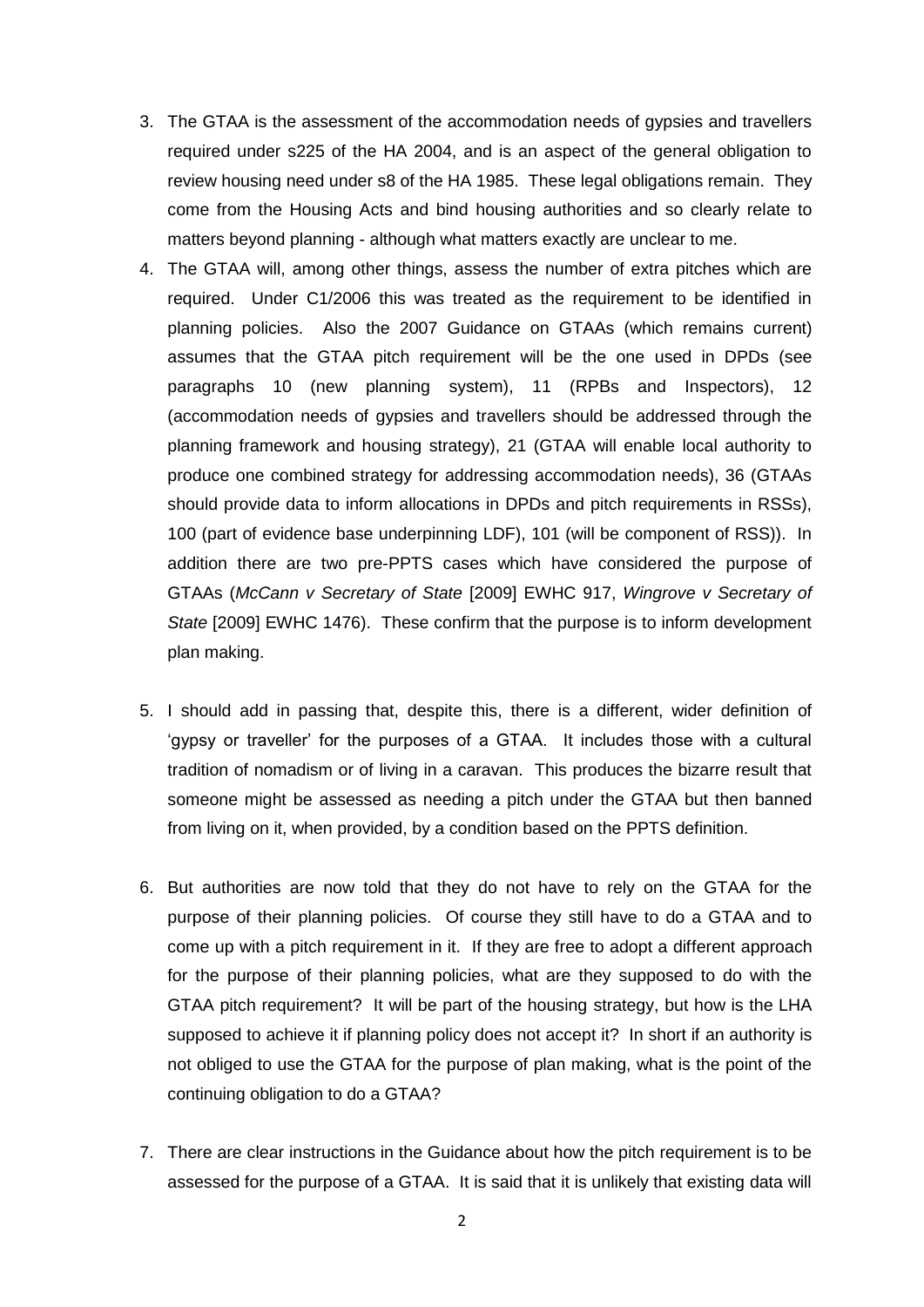- 3. The GTAA is the assessment of the accommodation needs of gypsies and travellers required under s225 of the HA 2004, and is an aspect of the general obligation to review housing need under s8 of the HA 1985. These legal obligations remain. They come from the Housing Acts and bind housing authorities and so clearly relate to matters beyond planning - although what matters exactly are unclear to me.
- 4. The GTAA will, among other things, assess the number of extra pitches which are required. Under C1/2006 this was treated as the requirement to be identified in planning policies. Also the 2007 Guidance on GTAAs (which remains current) assumes that the GTAA pitch requirement will be the one used in DPDs (see paragraphs 10 (new planning system), 11 (RPBs and Inspectors), 12 (accommodation needs of gypsies and travellers should be addressed through the planning framework and housing strategy), 21 (GTAA will enable local authority to produce one combined strategy for addressing accommodation needs), 36 (GTAAs should provide data to inform allocations in DPDs and pitch requirements in RSSs), 100 (part of evidence base underpinning LDF), 101 (will be component of RSS)). In addition there are two pre-PPTS cases which have considered the purpose of GTAAs (*McCann v Secretary of State* [2009] EWHC 917, *Wingrove v Secretary of State* [2009] EWHC 1476). These confirm that the purpose is to inform development plan making.
- 5. I should add in passing that, despite this, there is a different, wider definition of 'gypsy or traveller' for the purposes of a GTAA. It includes those with a cultural tradition of nomadism or of living in a caravan. This produces the bizarre result that someone might be assessed as needing a pitch under the GTAA but then banned from living on it, when provided, by a condition based on the PPTS definition.
- 6. But authorities are now told that they do not have to rely on the GTAA for the purpose of their planning policies. Of course they still have to do a GTAA and to come up with a pitch requirement in it. If they are free to adopt a different approach for the purpose of their planning policies, what are they supposed to do with the GTAA pitch requirement? It will be part of the housing strategy, but how is the LHA supposed to achieve it if planning policy does not accept it? In short if an authority is not obliged to use the GTAA for the purpose of plan making, what is the point of the continuing obligation to do a GTAA?
- 7. There are clear instructions in the Guidance about how the pitch requirement is to be assessed for the purpose of a GTAA. It is said that it is unlikely that existing data will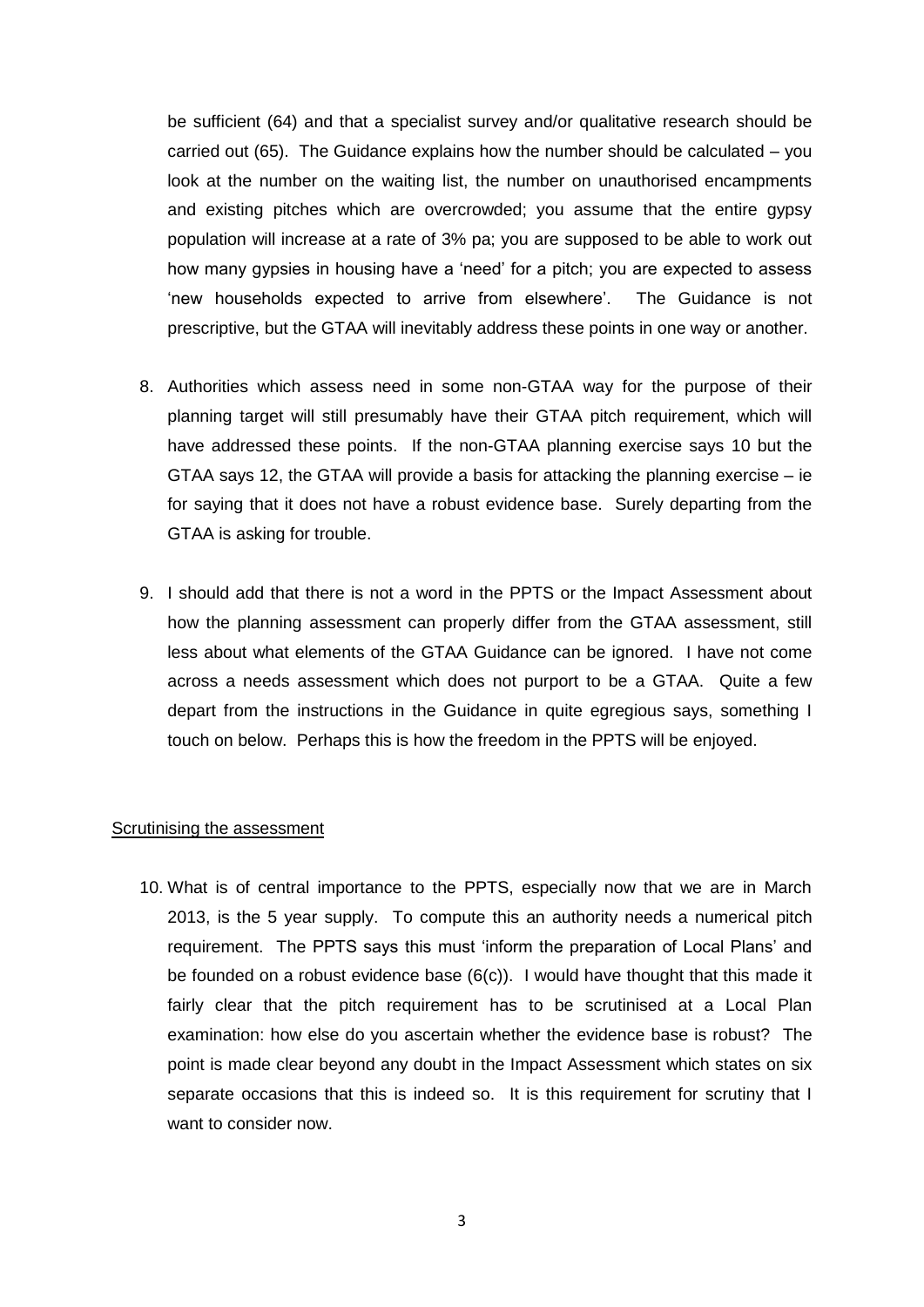be sufficient (64) and that a specialist survey and/or qualitative research should be carried out (65). The Guidance explains how the number should be calculated – you look at the number on the waiting list, the number on unauthorised encampments and existing pitches which are overcrowded; you assume that the entire gypsy population will increase at a rate of 3% pa; you are supposed to be able to work out how many gypsies in housing have a 'need' for a pitch; you are expected to assess 'new households expected to arrive from elsewhere'. The Guidance is not prescriptive, but the GTAA will inevitably address these points in one way or another.

- 8. Authorities which assess need in some non-GTAA way for the purpose of their planning target will still presumably have their GTAA pitch requirement, which will have addressed these points. If the non-GTAA planning exercise says 10 but the GTAA says 12, the GTAA will provide a basis for attacking the planning exercise – ie for saying that it does not have a robust evidence base. Surely departing from the GTAA is asking for trouble.
- 9. I should add that there is not a word in the PPTS or the Impact Assessment about how the planning assessment can properly differ from the GTAA assessment, still less about what elements of the GTAA Guidance can be ignored. I have not come across a needs assessment which does not purport to be a GTAA. Quite a few depart from the instructions in the Guidance in quite egregious says, something I touch on below. Perhaps this is how the freedom in the PPTS will be enjoyed.

## Scrutinising the assessment

10. What is of central importance to the PPTS, especially now that we are in March 2013, is the 5 year supply. To compute this an authority needs a numerical pitch requirement. The PPTS says this must 'inform the preparation of Local Plans' and be founded on a robust evidence base  $(6(c))$ . I would have thought that this made it fairly clear that the pitch requirement has to be scrutinised at a Local Plan examination: how else do you ascertain whether the evidence base is robust? The point is made clear beyond any doubt in the Impact Assessment which states on six separate occasions that this is indeed so. It is this requirement for scrutiny that I want to consider now.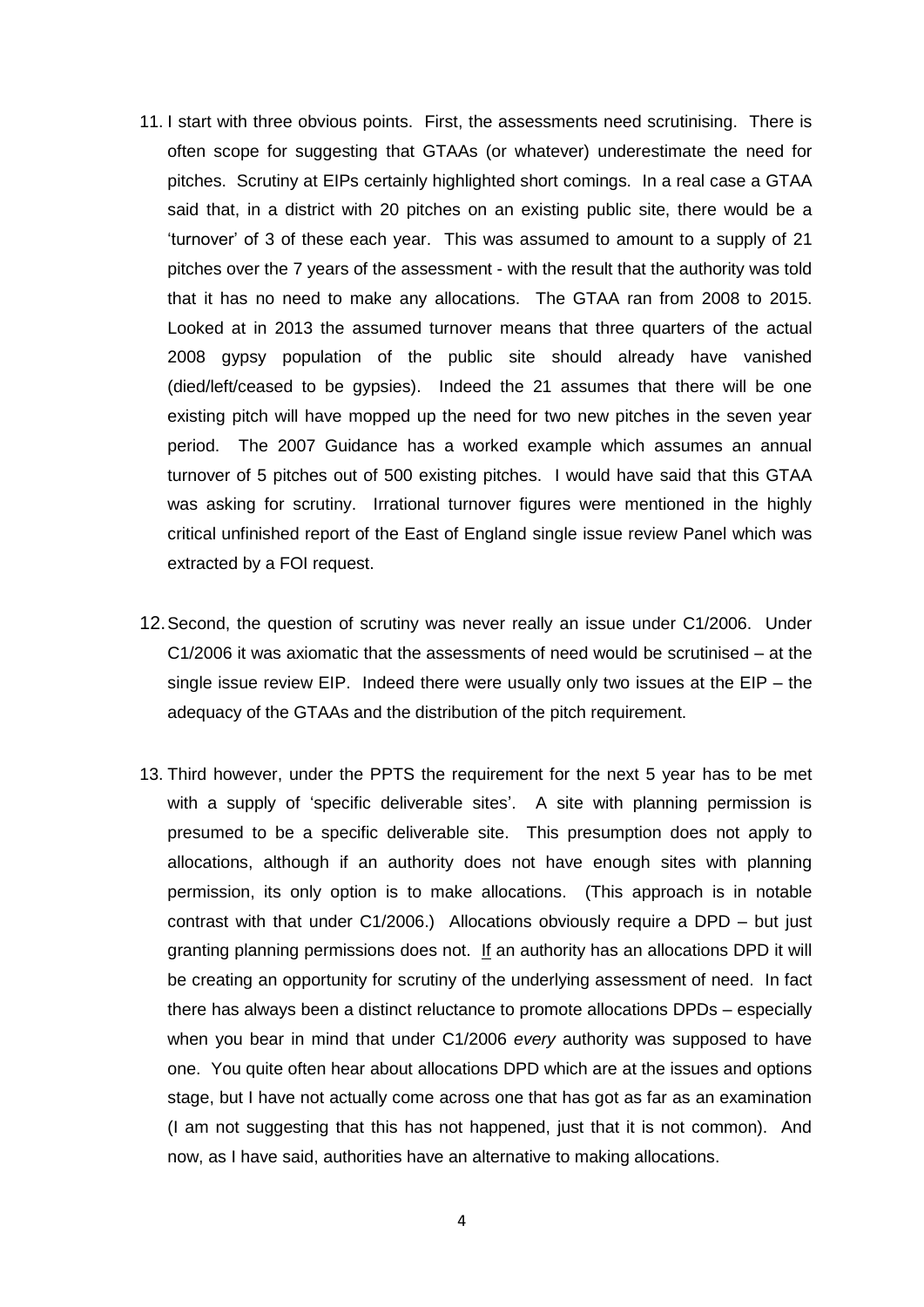- 11. I start with three obvious points. First, the assessments need scrutinising. There is often scope for suggesting that GTAAs (or whatever) underestimate the need for pitches. Scrutiny at EIPs certainly highlighted short comings. In a real case a GTAA said that, in a district with 20 pitches on an existing public site, there would be a 'turnover' of 3 of these each year. This was assumed to amount to a supply of 21 pitches over the 7 years of the assessment - with the result that the authority was told that it has no need to make any allocations. The GTAA ran from 2008 to 2015. Looked at in 2013 the assumed turnover means that three quarters of the actual 2008 gypsy population of the public site should already have vanished (died/left/ceased to be gypsies). Indeed the 21 assumes that there will be one existing pitch will have mopped up the need for two new pitches in the seven year period. The 2007 Guidance has a worked example which assumes an annual turnover of 5 pitches out of 500 existing pitches. I would have said that this GTAA was asking for scrutiny. Irrational turnover figures were mentioned in the highly critical unfinished report of the East of England single issue review Panel which was extracted by a FOI request.
- 12.Second, the question of scrutiny was never really an issue under C1/2006. Under C1/2006 it was axiomatic that the assessments of need would be scrutinised – at the single issue review EIP. Indeed there were usually only two issues at the EIP – the adequacy of the GTAAs and the distribution of the pitch requirement.
- 13. Third however, under the PPTS the requirement for the next 5 year has to be met with a supply of 'specific deliverable sites'. A site with planning permission is presumed to be a specific deliverable site. This presumption does not apply to allocations, although if an authority does not have enough sites with planning permission, its only option is to make allocations. (This approach is in notable contrast with that under C1/2006.) Allocations obviously require a DPD – but just granting planning permissions does not. If an authority has an allocations DPD it will be creating an opportunity for scrutiny of the underlying assessment of need. In fact there has always been a distinct reluctance to promote allocations DPDs – especially when you bear in mind that under C1/2006 *every* authority was supposed to have one. You quite often hear about allocations DPD which are at the issues and options stage, but I have not actually come across one that has got as far as an examination (I am not suggesting that this has not happened, just that it is not common). And now, as I have said, authorities have an alternative to making allocations.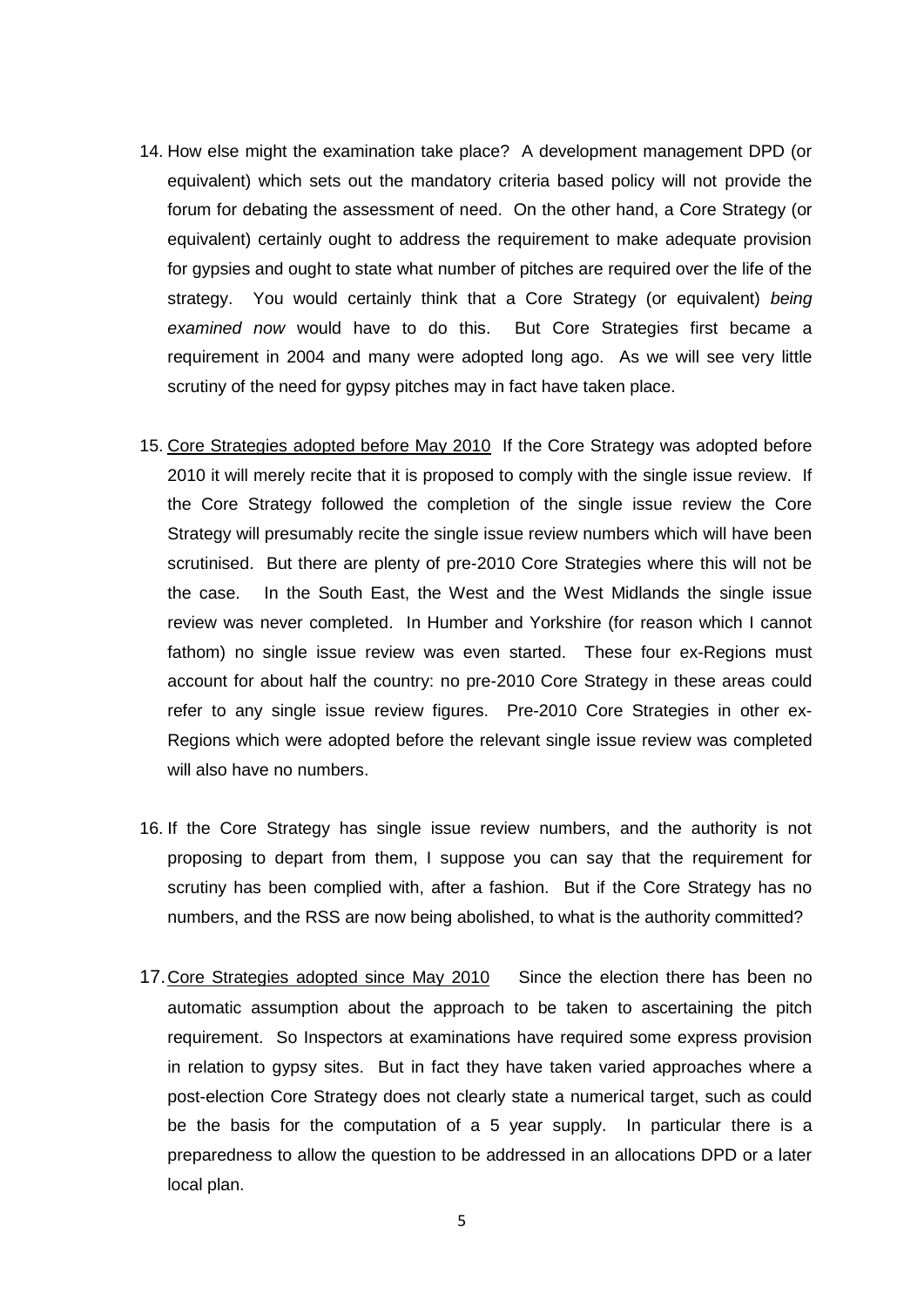- 14. How else might the examination take place? A development management DPD (or equivalent) which sets out the mandatory criteria based policy will not provide the forum for debating the assessment of need. On the other hand, a Core Strategy (or equivalent) certainly ought to address the requirement to make adequate provision for gypsies and ought to state what number of pitches are required over the life of the strategy. You would certainly think that a Core Strategy (or equivalent) *being examined now* would have to do this. But Core Strategies first became a requirement in 2004 and many were adopted long ago. As we will see very little scrutiny of the need for gypsy pitches may in fact have taken place.
- 15. Core Strategies adopted before May 2010 If the Core Strategy was adopted before 2010 it will merely recite that it is proposed to comply with the single issue review. If the Core Strategy followed the completion of the single issue review the Core Strategy will presumably recite the single issue review numbers which will have been scrutinised. But there are plenty of pre-2010 Core Strategies where this will not be the case. In the South East, the West and the West Midlands the single issue review was never completed. In Humber and Yorkshire (for reason which I cannot fathom) no single issue review was even started. These four ex-Regions must account for about half the country: no pre-2010 Core Strategy in these areas could refer to any single issue review figures. Pre-2010 Core Strategies in other ex-Regions which were adopted before the relevant single issue review was completed will also have no numbers.
- 16. If the Core Strategy has single issue review numbers, and the authority is not proposing to depart from them, I suppose you can say that the requirement for scrutiny has been complied with, after a fashion. But if the Core Strategy has no numbers, and the RSS are now being abolished, to what is the authority committed?
- 17.Core Strategies adopted since May 2010 Since the election there has been no automatic assumption about the approach to be taken to ascertaining the pitch requirement. So Inspectors at examinations have required some express provision in relation to gypsy sites. But in fact they have taken varied approaches where a post-election Core Strategy does not clearly state a numerical target, such as could be the basis for the computation of a 5 year supply. In particular there is a preparedness to allow the question to be addressed in an allocations DPD or a later local plan.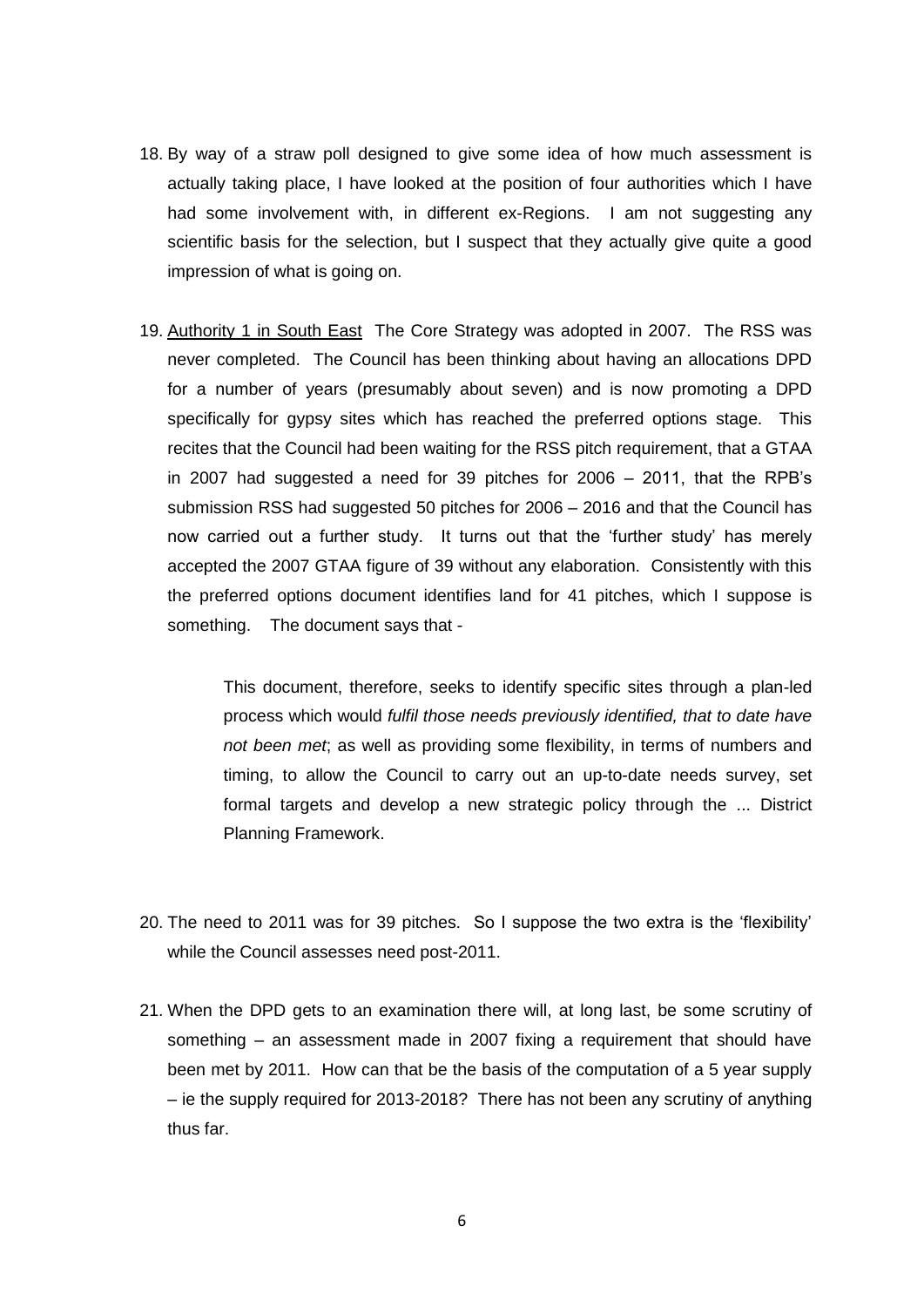- 18. By way of a straw poll designed to give some idea of how much assessment is actually taking place, I have looked at the position of four authorities which I have had some involvement with, in different ex-Regions. I am not suggesting any scientific basis for the selection, but I suspect that they actually give quite a good impression of what is going on.
- 19. Authority 1 in South East The Core Strategy was adopted in 2007. The RSS was never completed. The Council has been thinking about having an allocations DPD for a number of years (presumably about seven) and is now promoting a DPD specifically for gypsy sites which has reached the preferred options stage. This recites that the Council had been waiting for the RSS pitch requirement, that a GTAA in 2007 had suggested a need for 39 pitches for 2006 – 2011, that the RPB's submission RSS had suggested 50 pitches for 2006 – 2016 and that the Council has now carried out a further study. It turns out that the 'further study' has merely accepted the 2007 GTAA figure of 39 without any elaboration. Consistently with this the preferred options document identifies land for 41 pitches, which I suppose is something. The document says that -

This document, therefore, seeks to identify specific sites through a plan-led process which would *fulfil those needs previously identified, that to date have not been met*; as well as providing some flexibility, in terms of numbers and timing, to allow the Council to carry out an up-to-date needs survey, set formal targets and develop a new strategic policy through the ... District Planning Framework.

- 20. The need to 2011 was for 39 pitches. So I suppose the two extra is the 'flexibility' while the Council assesses need post-2011.
- 21. When the DPD gets to an examination there will, at long last, be some scrutiny of something – an assessment made in 2007 fixing a requirement that should have been met by 2011. How can that be the basis of the computation of a 5 year supply – ie the supply required for 2013-2018? There has not been any scrutiny of anything thus far.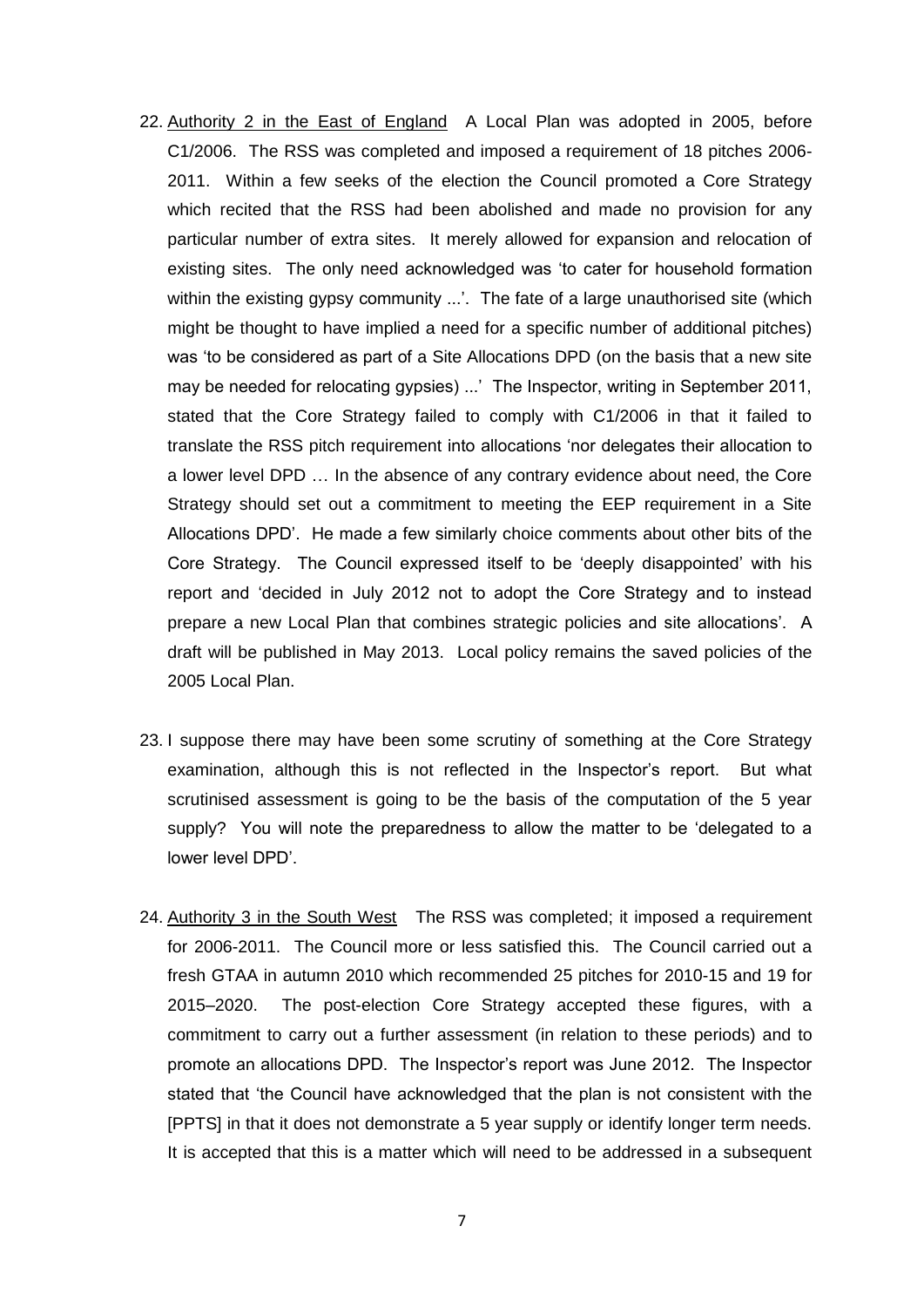- 22. Authority 2 in the East of England A Local Plan was adopted in 2005, before C1/2006. The RSS was completed and imposed a requirement of 18 pitches 2006- 2011. Within a few seeks of the election the Council promoted a Core Strategy which recited that the RSS had been abolished and made no provision for any particular number of extra sites. It merely allowed for expansion and relocation of existing sites. The only need acknowledged was 'to cater for household formation within the existing gypsy community ...'. The fate of a large unauthorised site (which might be thought to have implied a need for a specific number of additional pitches) was 'to be considered as part of a Site Allocations DPD (on the basis that a new site may be needed for relocating gypsies) ...' The Inspector, writing in September 2011, stated that the Core Strategy failed to comply with C1/2006 in that it failed to translate the RSS pitch requirement into allocations 'nor delegates their allocation to a lower level DPD … In the absence of any contrary evidence about need, the Core Strategy should set out a commitment to meeting the EEP requirement in a Site Allocations DPD'. He made a few similarly choice comments about other bits of the Core Strategy. The Council expressed itself to be 'deeply disappointed' with his report and 'decided in July 2012 not to adopt the Core Strategy and to instead prepare a new Local Plan that combines strategic policies and site allocations'. A draft will be published in May 2013. Local policy remains the saved policies of the 2005 Local Plan.
- 23. I suppose there may have been some scrutiny of something at the Core Strategy examination, although this is not reflected in the Inspector's report. But what scrutinised assessment is going to be the basis of the computation of the 5 year supply? You will note the preparedness to allow the matter to be 'delegated to a lower level DPD'.
- 24. Authority 3 in the South West The RSS was completed; it imposed a requirement for 2006-2011. The Council more or less satisfied this. The Council carried out a fresh GTAA in autumn 2010 which recommended 25 pitches for 2010-15 and 19 for 2015–2020. The post-election Core Strategy accepted these figures, with a commitment to carry out a further assessment (in relation to these periods) and to promote an allocations DPD. The Inspector's report was June 2012. The Inspector stated that 'the Council have acknowledged that the plan is not consistent with the [PPTS] in that it does not demonstrate a 5 year supply or identify longer term needs. It is accepted that this is a matter which will need to be addressed in a subsequent